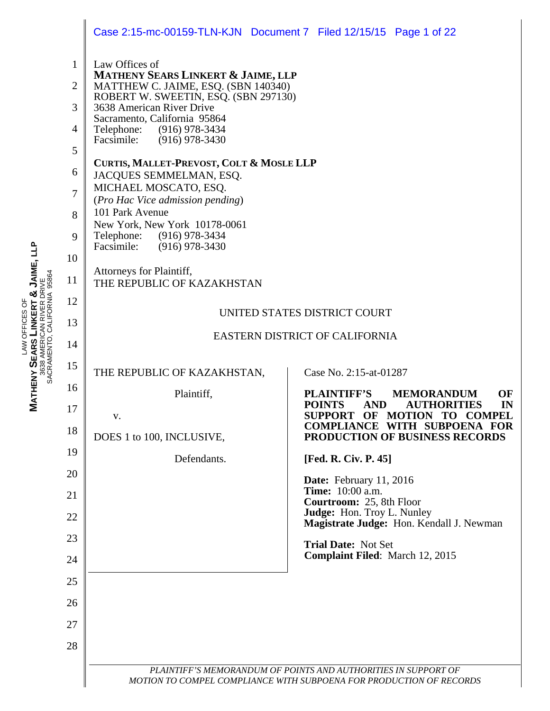|                                                         | Case 2:15-mc-00159-TLN-KJN  Document 7  Filed 12/15/15  Page 1 of 22                                                                                                                                                                                                                                                                                                                                      |                                                                                                          |  |  |  |  |
|---------------------------------------------------------|-----------------------------------------------------------------------------------------------------------------------------------------------------------------------------------------------------------------------------------------------------------------------------------------------------------------------------------------------------------------------------------------------------------|----------------------------------------------------------------------------------------------------------|--|--|--|--|
| $\mathbf{1}$<br>$\overline{2}$<br>3<br>4<br>5<br>6<br>7 | Law Offices of<br><b>MATHENY SEARS LINKERT &amp; JAIME, LLP</b><br>MATTHEW C. JAIME, ESQ. (SBN 140340)<br>ROBERT W. SWEETIN, ESQ. (SBN 297130)<br>3638 American River Drive<br>Sacramento, California 95864<br>Telephone: (916) 978-3434<br>Facsimile: (916) 978-3430<br>CURTIS, MALLET-PREVOST, COLT & MOSLE LLP<br>JACQUES SEMMELMAN, ESQ.<br>MICHAEL MOSCATO, ESQ.<br>(Pro Hac Vice admission pending) |                                                                                                          |  |  |  |  |
| 8                                                       | 101 Park Avenue<br>New York, New York 10178-0061                                                                                                                                                                                                                                                                                                                                                          |                                                                                                          |  |  |  |  |
| 9                                                       | Telephone: (916) 978-3434<br>Facsimile:<br>$(916)$ 978-3430                                                                                                                                                                                                                                                                                                                                               |                                                                                                          |  |  |  |  |
| 10                                                      | Attorneys for Plaintiff,                                                                                                                                                                                                                                                                                                                                                                                  |                                                                                                          |  |  |  |  |
| 11                                                      | THE REPUBLIC OF KAZAKHSTAN                                                                                                                                                                                                                                                                                                                                                                                |                                                                                                          |  |  |  |  |
| 12                                                      | UNITED STATES DISTRICT COURT                                                                                                                                                                                                                                                                                                                                                                              |                                                                                                          |  |  |  |  |
| 13                                                      |                                                                                                                                                                                                                                                                                                                                                                                                           |                                                                                                          |  |  |  |  |
| 14                                                      |                                                                                                                                                                                                                                                                                                                                                                                                           | EASTERN DISTRICT OF CALIFORNIA                                                                           |  |  |  |  |
| 15                                                      | THE REPUBLIC OF KAZAKHSTAN,                                                                                                                                                                                                                                                                                                                                                                               | Case No. 2:15-at-01287                                                                                   |  |  |  |  |
| 16                                                      | Plaintiff,                                                                                                                                                                                                                                                                                                                                                                                                | <b>PLAINTIFF'S</b><br><b>MEMORANDUM</b><br>OF<br><b>POINTS</b><br><b>AND</b><br><b>AUTHORITIES</b><br>IN |  |  |  |  |
| 17                                                      | V.                                                                                                                                                                                                                                                                                                                                                                                                        | SUPPORT OF MOTION TO COMPEL                                                                              |  |  |  |  |
| 18                                                      | DOES 1 to 100, INCLUSIVE,                                                                                                                                                                                                                                                                                                                                                                                 | <b>COMPLIANCE WITH SUBPOENA FOR</b><br><b>PRODUCTION OF BUSINESS RECORDS</b>                             |  |  |  |  |
| 19                                                      | Defendants.                                                                                                                                                                                                                                                                                                                                                                                               | [Fed. R. Civ. P. 45]                                                                                     |  |  |  |  |
| 20                                                      |                                                                                                                                                                                                                                                                                                                                                                                                           | Date: February 11, 2016                                                                                  |  |  |  |  |
| 21                                                      |                                                                                                                                                                                                                                                                                                                                                                                                           | <b>Time:</b> 10:00 a.m.<br>Courtroom: 25, 8th Floor                                                      |  |  |  |  |
| 22                                                      |                                                                                                                                                                                                                                                                                                                                                                                                           | Judge: Hon. Troy L. Nunley<br>Magistrate Judge: Hon. Kendall J. Newman                                   |  |  |  |  |
| 23                                                      |                                                                                                                                                                                                                                                                                                                                                                                                           | <b>Trial Date: Not Set</b>                                                                               |  |  |  |  |
| 24                                                      |                                                                                                                                                                                                                                                                                                                                                                                                           | <b>Complaint Filed:</b> March 12, 2015                                                                   |  |  |  |  |
| 25                                                      |                                                                                                                                                                                                                                                                                                                                                                                                           |                                                                                                          |  |  |  |  |
| 26                                                      |                                                                                                                                                                                                                                                                                                                                                                                                           |                                                                                                          |  |  |  |  |
| 27                                                      |                                                                                                                                                                                                                                                                                                                                                                                                           |                                                                                                          |  |  |  |  |
| 28                                                      |                                                                                                                                                                                                                                                                                                                                                                                                           |                                                                                                          |  |  |  |  |
|                                                         |                                                                                                                                                                                                                                                                                                                                                                                                           | PLAINTIFF'S MEMORANDUM OF POINTS AND AUTHORITIES IN SUPPORT OF                                           |  |  |  |  |
|                                                         |                                                                                                                                                                                                                                                                                                                                                                                                           | MOTION TO COMPEL COMPLIANCE WITH SUBPOENA FOR PRODUCTION OF RECORDS                                      |  |  |  |  |

LAW OFFICES OF **MATHENY SEARS LINKERT & JAIME, LLP** 3638 AMERICAN RIVER DRIVE SACRAMENTO, CALIFORNIA 95864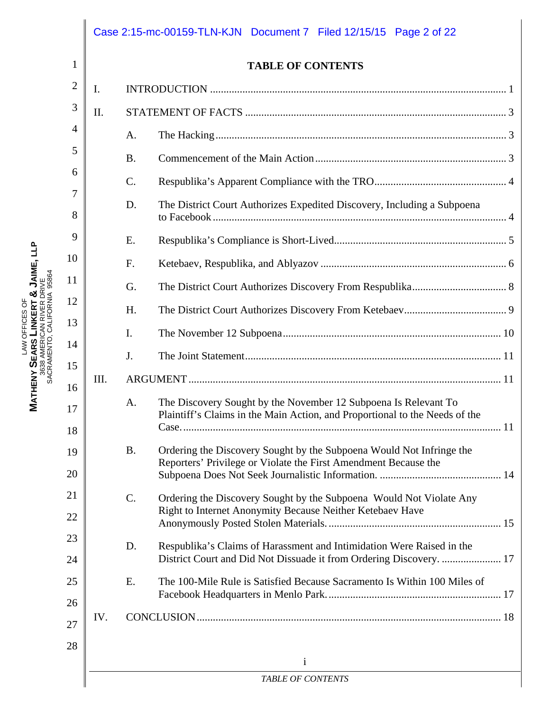|      | <b>TABLE OF CONTENTS</b>                                                                                                                             |  |  |  |
|------|------------------------------------------------------------------------------------------------------------------------------------------------------|--|--|--|
| I.   |                                                                                                                                                      |  |  |  |
| II.  |                                                                                                                                                      |  |  |  |
|      | A.                                                                                                                                                   |  |  |  |
|      | <b>B.</b>                                                                                                                                            |  |  |  |
|      | C.                                                                                                                                                   |  |  |  |
|      | The District Court Authorizes Expedited Discovery, Including a Subpoena<br>D.                                                                        |  |  |  |
|      | E.                                                                                                                                                   |  |  |  |
|      | F.                                                                                                                                                   |  |  |  |
|      | G.                                                                                                                                                   |  |  |  |
|      | H.                                                                                                                                                   |  |  |  |
|      | I.                                                                                                                                                   |  |  |  |
|      | J.                                                                                                                                                   |  |  |  |
| III. |                                                                                                                                                      |  |  |  |
|      | The Discovery Sought by the November 12 Subpoena Is Relevant To<br>A.<br>Plaintiff's Claims in the Main Action, and Proportional to the Needs of the |  |  |  |
|      | <b>B.</b><br>Ordering the Discovery Sought by the Subpoena Would Not Infringe the<br>Reporters' Privilege or Violate the First Amendment Because the |  |  |  |
|      | $C$ .<br>Ordering the Discovery Sought by the Subpoena Would Not Violate Any<br>Right to Internet Anonymity Because Neither Ketebaev Have            |  |  |  |
|      | Respublika's Claims of Harassment and Intimidation Were Raised in the<br>D.<br>District Court and Did Not Dissuade it from Ordering Discovery.  17   |  |  |  |
|      | The 100-Mile Rule is Satisfied Because Sacramento Is Within 100 Miles of<br>E.                                                                       |  |  |  |
| IV.  |                                                                                                                                                      |  |  |  |

LAW OFFICES OF

**MATHENY** 

**SEARS** 

**LINKERT** 

3638 AMERICAN RIVER DRIVE SACRAMENTO, CALIFORNIA 95864

**&**

**JAIME, LLP**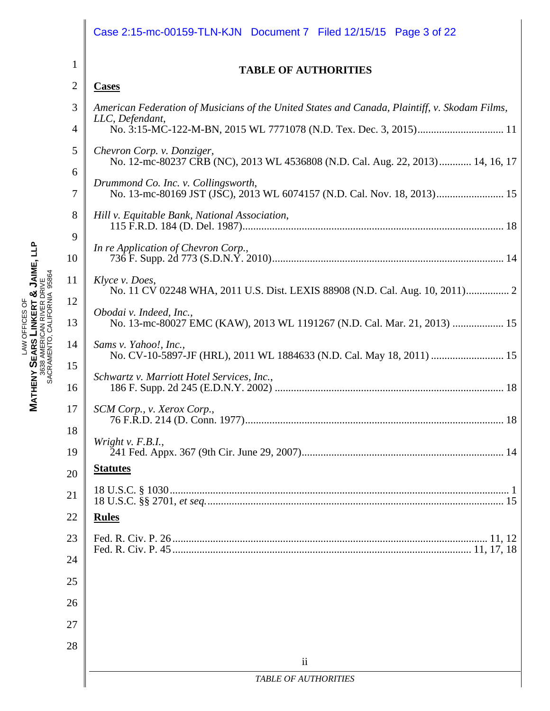|                | Case 2:15-mc-00159-TLN-KJN  Document 7  Filed 12/15/15  Page 3 of 22                                         |  |  |  |  |  |  |
|----------------|--------------------------------------------------------------------------------------------------------------|--|--|--|--|--|--|
| 1              | <b>TABLE OF AUTHORITIES</b>                                                                                  |  |  |  |  |  |  |
| $\overline{2}$ | <b>Cases</b>                                                                                                 |  |  |  |  |  |  |
| 3              | American Federation of Musicians of the United States and Canada, Plaintiff, v. Skodam Films,                |  |  |  |  |  |  |
| $\overline{4}$ | LLC, Defendant,                                                                                              |  |  |  |  |  |  |
| 5              | Chevron Corp. v. Donziger,<br>No. 12-mc-80237 CRB (NC), 2013 WL 4536808 (N.D. Cal. Aug. 22, 2013) 14, 16, 17 |  |  |  |  |  |  |
| 6<br>7         | Drummond Co. Inc. v. Collingsworth,                                                                          |  |  |  |  |  |  |
| 8              | Hill v. Equitable Bank, National Association,                                                                |  |  |  |  |  |  |
| 9<br>10        | In re Application of Chevron Corp.,                                                                          |  |  |  |  |  |  |
| 11             | Klyce v. Does,<br>No. 11 CV 02248 WHA, 2011 U.S. Dist. LEXIS 88908 (N.D. Cal. Aug. 10, 2011) 2               |  |  |  |  |  |  |
| 12<br>13       | Obodai v. Indeed, Inc.,<br>No. 13-mc-80027 EMC (KAW), 2013 WL 1191267 (N.D. Cal. Mar. 21, 2013)  15          |  |  |  |  |  |  |
| 14             | Sams v. Yahoo!, Inc.,<br>No. CV-10-5897-JF (HRL), 2011 WL 1884633 (N.D. Cal. May 18, 2011)  15               |  |  |  |  |  |  |
| 15<br>16       | Schwartz v. Marriott Hotel Services, Inc.,                                                                   |  |  |  |  |  |  |
| 17             | SCM Corp., v. Xerox Corp.,                                                                                   |  |  |  |  |  |  |
| 18<br>19       | Wright v. $F.B.I.,$                                                                                          |  |  |  |  |  |  |
| 20             | <b>Statutes</b>                                                                                              |  |  |  |  |  |  |
| 21             |                                                                                                              |  |  |  |  |  |  |
| 22             | <b>Rules</b>                                                                                                 |  |  |  |  |  |  |
| 23             |                                                                                                              |  |  |  |  |  |  |
| 24             |                                                                                                              |  |  |  |  |  |  |
| 25             |                                                                                                              |  |  |  |  |  |  |
| 26             |                                                                                                              |  |  |  |  |  |  |
| 27             |                                                                                                              |  |  |  |  |  |  |
| 28             |                                                                                                              |  |  |  |  |  |  |
|                | $\mathbf{ii}$<br><b>TABLE OF AUTHORITIES</b>                                                                 |  |  |  |  |  |  |
|                |                                                                                                              |  |  |  |  |  |  |

LAW OFFICES OF **MATHENY SEARS LINKERT & JAIME, LLP** 3638 AMERICAN RIVER DRIVE SACRAMENTO, CALIFORNIA 95864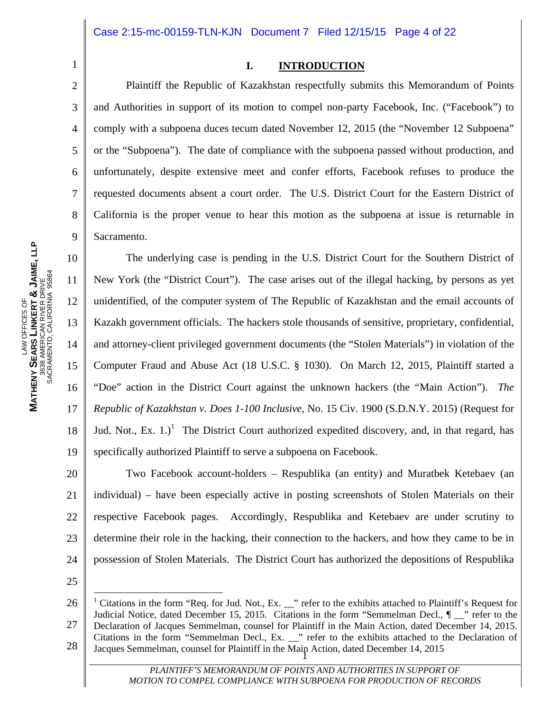1 2

3

4

5

6

7

8

9

#### **I. INTRODUCTION**

 Plaintiff the Republic of Kazakhstan respectfully submits this Memorandum of Points and Authorities in support of its motion to compel non-party Facebook, Inc. ("Facebook") to comply with a subpoena duces tecum dated November 12, 2015 (the "November 12 Subpoena" or the "Subpoena"). The date of compliance with the subpoena passed without production, and unfortunately, despite extensive meet and confer efforts, Facebook refuses to produce the requested documents absent a court order. The U.S. District Court for the Eastern District of California is the proper venue to hear this motion as the subpoena at issue is returnable in Sacramento.

10 11 12 13 14 15 16 17 18 19 The underlying case is pending in the U.S. District Court for the Southern District of New York (the "District Court"). The case arises out of the illegal hacking, by persons as yet unidentified, of the computer system of The Republic of Kazakhstan and the email accounts of Kazakh government officials. The hackers stole thousands of sensitive, proprietary, confidential, and attorney-client privileged government documents (the "Stolen Materials") in violation of the Computer Fraud and Abuse Act (18 U.S.C. § 1030). On March 12, 2015, Plaintiff started a "Doe" action in the District Court against the unknown hackers (the "Main Action"). *The Republic of Kazakhstan v. Does 1-100 Inclusive*, No. 15 Civ. 1900 (S.D.N.Y. 2015) (Request for Jud. Not., Ex.  $1$ .)<sup>1</sup> The District Court authorized expedited discovery, and, in that regard, has specifically authorized Plaintiff to serve a subpoena on Facebook.

20 21 22 23 24 Two Facebook account-holders – Respublika (an entity) and Muratbek Ketebaev (an individual) – have been especially active in posting screenshots of Stolen Materials on their respective Facebook pages. Accordingly, Respublika and Ketebaev are under scrutiny to determine their role in the hacking, their connection to the hackers, and how they came to be in possession of Stolen Materials. The District Court has authorized the depositions of Respublika

25

 $\overline{a}$ 

26 27 28 1 Jacques Semmelman, counsel for Plaintiff in the Main Action, dated December 14, 2015 <sup>1</sup> Citations in the form "Req. for Jud. Not., Ex. \_\_" refer to the exhibits attached to Plaintiff's Request for Judicial Notice, dated December 15, 2015. Citations in the form "Semmelman Decl.,  $\P$  \_\_" refer to the Declaration of Jacques Semmelman, counsel for Plaintiff in the Main Action, dated December 14, 2015. Citations in the form "Semmelman Decl., Ex. \_\_" refer to the exhibits attached to the Declaration of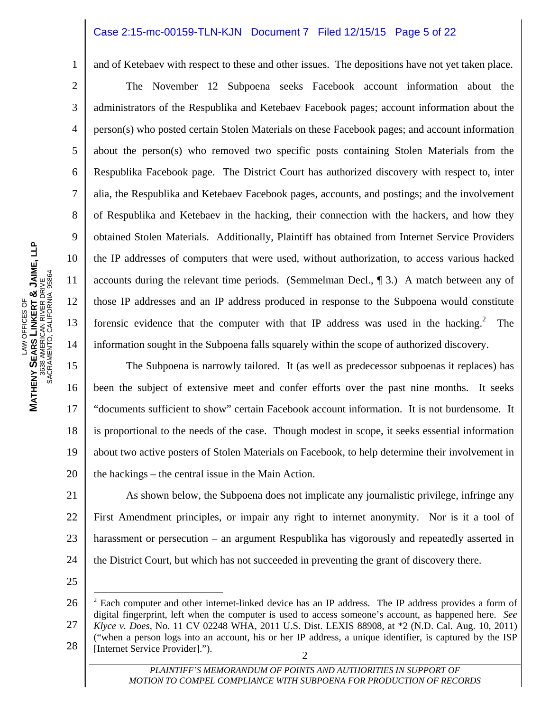#### Case 2:15-mc-00159-TLN-KJN Document 7 Filed 12/15/15 Page 5 of 22

and of Ketebaev with respect to these and other issues. The depositions have not yet taken place.

**JAIME, LLP** SACRAMENTO, CALIFORNIA 95864 3638 AMERICAN RIVER DRIVE **&** LAW OFFICES OF **LINKERT**  LAW OFFICES OF **SEARS MATHENY** 

1

2

3

4

5

6

7

8

9

10

11

12

13

14

 The November 12 Subpoena seeks Facebook account information about the administrators of the Respublika and Ketebaev Facebook pages; account information about the person(s) who posted certain Stolen Materials on these Facebook pages; and account information about the person(s) who removed two specific posts containing Stolen Materials from the Respublika Facebook page. The District Court has authorized discovery with respect to, inter alia, the Respublika and Ketebaev Facebook pages, accounts, and postings; and the involvement of Respublika and Ketebaev in the hacking, their connection with the hackers, and how they obtained Stolen Materials. Additionally, Plaintiff has obtained from Internet Service Providers the IP addresses of computers that were used, without authorization, to access various hacked accounts during the relevant time periods. (Semmelman Decl., ¶ 3.) A match between any of those IP addresses and an IP address produced in response to the Subpoena would constitute forensic evidence that the computer with that IP address was used in the hacking.<sup>2</sup> The information sought in the Subpoena falls squarely within the scope of authorized discovery.

15 16 17 18 19 20 The Subpoena is narrowly tailored. It (as well as predecessor subpoenas it replaces) has been the subject of extensive meet and confer efforts over the past nine months. It seeks "documents sufficient to show" certain Facebook account information. It is not burdensome. It is proportional to the needs of the case. Though modest in scope, it seeks essential information about two active posters of Stolen Materials on Facebook, to help determine their involvement in the hackings – the central issue in the Main Action.

21 22 23 24 As shown below, the Subpoena does not implicate any journalistic privilege, infringe any First Amendment principles, or impair any right to internet anonymity. Nor is it a tool of harassment or persecution – an argument Respublika has vigorously and repeatedly asserted in the District Court, but which has not succeeded in preventing the grant of discovery there.

25

 $\overline{a}$ 

<sup>26</sup>  27 28 2 [Internet Service Provider].").  $2$  Each computer and other internet-linked device has an IP address. The IP address provides a form of digital fingerprint, left when the computer is used to access someone's account, as happened here. *See Klyce v. Does*, No. 11 CV 02248 WHA, 2011 U.S. Dist. LEXIS 88908, at \*2 (N.D. Cal. Aug. 10, 2011) ("when a person logs into an account, his or her IP address, a unique identifier, is captured by the ISP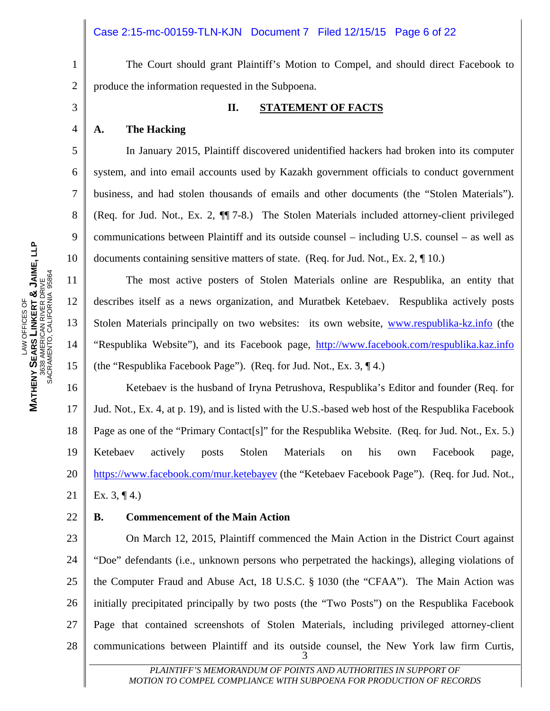The Court should grant Plaintiff's Motion to Compel, and should direct Facebook to produce the information requested in the Subpoena.

#### **II. STATEMENT OF FACTS**

#### **A. The Hacking**

1

2

3

4

5

6

7

8

9

10

11

12

13

14

15

22

 In January 2015, Plaintiff discovered unidentified hackers had broken into its computer system, and into email accounts used by Kazakh government officials to conduct government business, and had stolen thousands of emails and other documents (the "Stolen Materials"). (Req. for Jud. Not., Ex. 2, ¶¶ 7-8.) The Stolen Materials included attorney-client privileged communications between Plaintiff and its outside counsel – including U.S. counsel – as well as documents containing sensitive matters of state. (Req. for Jud. Not., Ex. 2, ¶ 10.)

 The most active posters of Stolen Materials online are Respublika, an entity that describes itself as a news organization, and Muratbek Ketebaev. Respublika actively posts Stolen Materials principally on two websites: its own website, www.respublika-kz.info (the "Respublika Website"), and its Facebook page, http://www.facebook.com/respublika.kaz.info (the "Respublika Facebook Page"). (Req. for Jud. Not., Ex. 3, ¶ 4.)

16 17 18 19 20 21 Ketebaev is the husband of Iryna Petrushova, Respublika's Editor and founder (Req. for Jud. Not., Ex. 4, at p. 19), and is listed with the U.S.-based web host of the Respublika Facebook Page as one of the "Primary Contact[s]" for the Respublika Website. (Req. for Jud. Not., Ex. 5.) Ketebaev actively posts Stolen Materials on his own Facebook page, https://www.facebook.com/mur.ketebayev (the "Ketebaev Facebook Page"). (Req. for Jud. Not., Ex.  $3, \P 4.$ )

#### **B. Commencement of the Main Action**

23 24 25 26 27 28 3 On March 12, 2015, Plaintiff commenced the Main Action in the District Court against "Doe" defendants (i.e., unknown persons who perpetrated the hackings), alleging violations of the Computer Fraud and Abuse Act, 18 U.S.C. § 1030 (the "CFAA"). The Main Action was initially precipitated principally by two posts (the "Two Posts") on the Respublika Facebook Page that contained screenshots of Stolen Materials, including privileged attorney-client communications between Plaintiff and its outside counsel, the New York law firm Curtis,

> PLAINTIFF'S MEMORANDUM OF POINTS AND AUTHORITIES IN SUPPORT OF *MOTION TO COMPEL COMPLIANCE WITH SUBPOENA FOR PRODUCTION OF RECORDS*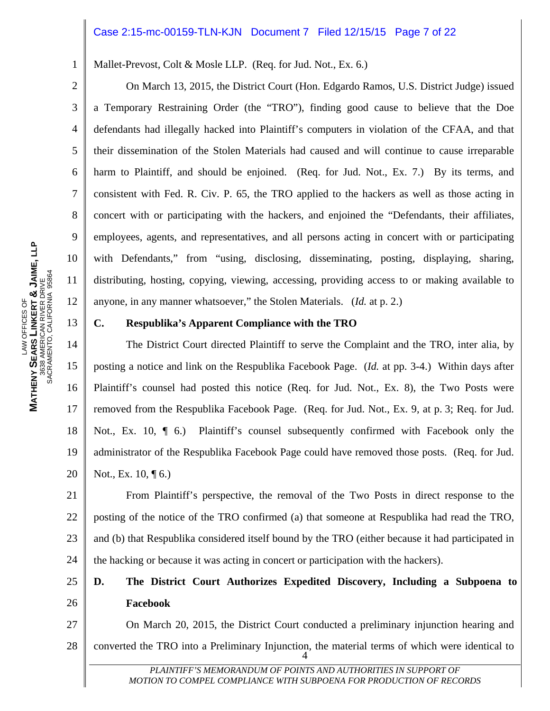#### Case 2:15-mc-00159-TLN-KJN Document 7 Filed 12/15/15 Page 7 of 22

Mallet-Prevost, Colt & Mosle LLP. (Req. for Jud. Not., Ex. 6.)

 On March 13, 2015, the District Court (Hon. Edgardo Ramos, U.S. District Judge) issued a Temporary Restraining Order (the "TRO"), finding good cause to believe that the Doe defendants had illegally hacked into Plaintiff's computers in violation of the CFAA, and that their dissemination of the Stolen Materials had caused and will continue to cause irreparable harm to Plaintiff, and should be enjoined. (Req. for Jud. Not., Ex. 7.) By its terms, and consistent with Fed. R. Civ. P. 65, the TRO applied to the hackers as well as those acting in concert with or participating with the hackers, and enjoined the "Defendants, their affiliates, employees, agents, and representatives, and all persons acting in concert with or participating with Defendants," from "using, disclosing, disseminating, posting, displaying, sharing, distributing, hosting, copying, viewing, accessing, providing access to or making available to anyone, in any manner whatsoever," the Stolen Materials. (*Id.* at p. 2.)

#### **C. Respublika's Apparent Compliance with the TRO**

14 15 16 17 18 19 20 The District Court directed Plaintiff to serve the Complaint and the TRO, inter alia, by posting a notice and link on the Respublika Facebook Page. (*Id.* at pp. 3-4.) Within days after Plaintiff's counsel had posted this notice (Req. for Jud. Not., Ex. 8), the Two Posts were removed from the Respublika Facebook Page. (Req. for Jud. Not., Ex. 9, at p. 3; Req. for Jud. Not., Ex. 10, ¶ 6.) Plaintiff's counsel subsequently confirmed with Facebook only the administrator of the Respublika Facebook Page could have removed those posts. (Req. for Jud. Not., Ex. 10, **[6.**)

21 22 23 24 From Plaintiff's perspective, the removal of the Two Posts in direct response to the posting of the notice of the TRO confirmed (a) that someone at Respublika had read the TRO, and (b) that Respublika considered itself bound by the TRO (either because it had participated in the hacking or because it was acting in concert or participation with the hackers).

#### 25 26 **D. The District Court Authorizes Expedited Discovery, Including a Subpoena to Facebook**

27 28  $\frac{1}{2}$  4 On March 20, 2015, the District Court conducted a preliminary injunction hearing and converted the TRO into a Preliminary Injunction, the material terms of which were identical to

> PLAINTIFF'S MEMORANDUM OF POINTS AND AUTHORITIES IN SUPPORT OF *MOTION TO COMPEL COMPLIANCE WITH SUBPOENA FOR PRODUCTION OF RECORDS*

1

2

3

4

5

6

7

8

9

10

11

12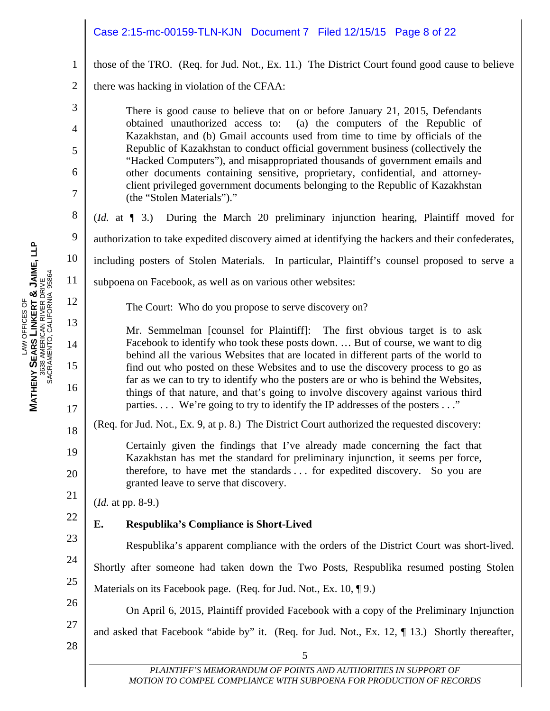### Case 2:15-mc-00159-TLN-KJN Document 7 Filed 12/15/15 Page 8 of 22

those of the TRO. (Req. for Jud. Not., Ex. 11.) The District Court found good cause to believe

2 there was hacking in violation of the CFAA:

> There is good cause to believe that on or before January 21, 2015, Defendants obtained unauthorized access to: (a) the computers of the Republic of Kazakhstan, and (b) Gmail accounts used from time to time by officials of the Republic of Kazakhstan to conduct official government business (collectively the "Hacked Computers"), and misappropriated thousands of government emails and other documents containing sensitive, proprietary, confidential, and attorneyclient privileged government documents belonging to the Republic of Kazakhstan (the "Stolen Materials")."

(*Id.* at ¶ 3.) During the March 20 preliminary injunction hearing, Plaintiff moved for

authorization to take expedited discovery aimed at identifying the hackers and their confederates,

including posters of Stolen Materials. In particular, Plaintiff's counsel proposed to serve a

subpoena on Facebook, as well as on various other websites:

The Court: Who do you propose to serve discovery on?

Mr. Semmelman [counsel for Plaintiff]: The first obvious target is to ask Facebook to identify who took these posts down. … But of course, we want to dig behind all the various Websites that are located in different parts of the world to find out who posted on these Websites and to use the discovery process to go as far as we can to try to identify who the posters are or who is behind the Websites, things of that nature, and that's going to involve discovery against various third parties. . . . We're going to try to identify the IP addresses of the posters . . ."

(Req. for Jud. Not., Ex. 9, at p. 8.) The District Court authorized the requested discovery:

Certainly given the findings that I've already made concerning the fact that Kazakhstan has met the standard for preliminary injunction, it seems per force, therefore, to have met the standards . . . for expedited discovery. So you are granted leave to serve that discovery.

(*Id.* at pp. 8-9.)

### **E. Respublika's Compliance is Short-Lived**

23 24 25 26 Respublika's apparent compliance with the orders of the District Court was short-lived. Shortly after someone had taken down the Two Posts, Respublika resumed posting Stolen Materials on its Facebook page. (Req. for Jud. Not., Ex. 10, 19.) On April 6, 2015, Plaintiff provided Facebook with a copy of the Preliminary Injunction

- 27 28
- and asked that Facebook "abide by" it. (Req. for Jud. Not., Ex. 12, ¶ 13.) Shortly thereafter,

1

3

4

5

6

7

8

9

10

11

12

13

14

15

16

17

18

19

20

21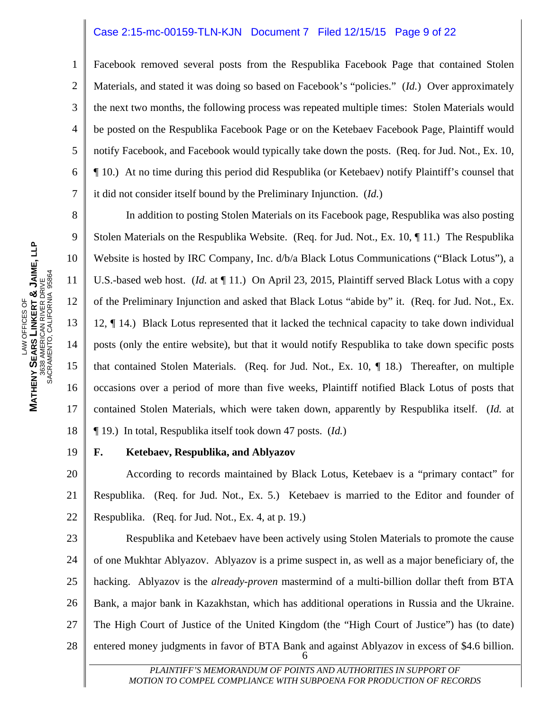#### Case 2:15-mc-00159-TLN-KJN Document 7 Filed 12/15/15 Page 9 of 22

Facebook removed several posts from the Respublika Facebook Page that contained Stolen Materials, and stated it was doing so based on Facebook's "policies." (*Id.*) Over approximately the next two months, the following process was repeated multiple times: Stolen Materials would be posted on the Respublika Facebook Page or on the Ketebaev Facebook Page, Plaintiff would notify Facebook, and Facebook would typically take down the posts. (Req. for Jud. Not., Ex. 10, ¶ 10.) At no time during this period did Respublika (or Ketebaev) notify Plaintiff's counsel that it did not consider itself bound by the Preliminary Injunction. (*Id.*)

 In addition to posting Stolen Materials on its Facebook page, Respublika was also posting Stolen Materials on the Respublika Website. (Req. for Jud. Not., Ex. 10, ¶ 11.) The Respublika Website is hosted by IRC Company, Inc. d/b/a Black Lotus Communications ("Black Lotus"), a U.S.-based web host. (*Id.* at ¶ 11.) On April 23, 2015, Plaintiff served Black Lotus with a copy of the Preliminary Injunction and asked that Black Lotus "abide by" it. (Req. for Jud. Not., Ex. 12, ¶ 14.) Black Lotus represented that it lacked the technical capacity to take down individual posts (only the entire website), but that it would notify Respublika to take down specific posts that contained Stolen Materials. (Req. for Jud. Not., Ex. 10, ¶ 18.) Thereafter, on multiple occasions over a period of more than five weeks, Plaintiff notified Black Lotus of posts that contained Stolen Materials, which were taken down, apparently by Respublika itself. (*Id.* at ¶ 19.) In total, Respublika itself took down 47 posts. (*Id.*)

#### **F. Ketebaev, Respublika, and Ablyazov**

20 21 22 According to records maintained by Black Lotus, Ketebaev is a "primary contact" for Respublika. (Req. for Jud. Not., Ex. 5.) Ketebaev is married to the Editor and founder of Respublika. (Req. for Jud. Not., Ex. 4, at p. 19.)

23 24 25 26 27 28  $\frac{1}{2}$  6 Respublika and Ketebaev have been actively using Stolen Materials to promote the cause of one Mukhtar Ablyazov. Ablyazov is a prime suspect in, as well as a major beneficiary of, the hacking. Ablyazov is the *already*-*proven* mastermind of a multi-billion dollar theft from BTA Bank, a major bank in Kazakhstan, which has additional operations in Russia and the Ukraine. The High Court of Justice of the United Kingdom (the "High Court of Justice") has (to date) entered money judgments in favor of BTA Bank and against Ablyazov in excess of \$4.6 billion.

> PLAINTIFF'S MEMORANDUM OF POINTS AND AUTHORITIES IN SUPPORT OF *MOTION TO COMPEL COMPLIANCE WITH SUBPOENA FOR PRODUCTION OF RECORDS*

1

2

3

4

5

6

7

8

9

10

11

12

13

14

15

16

17

18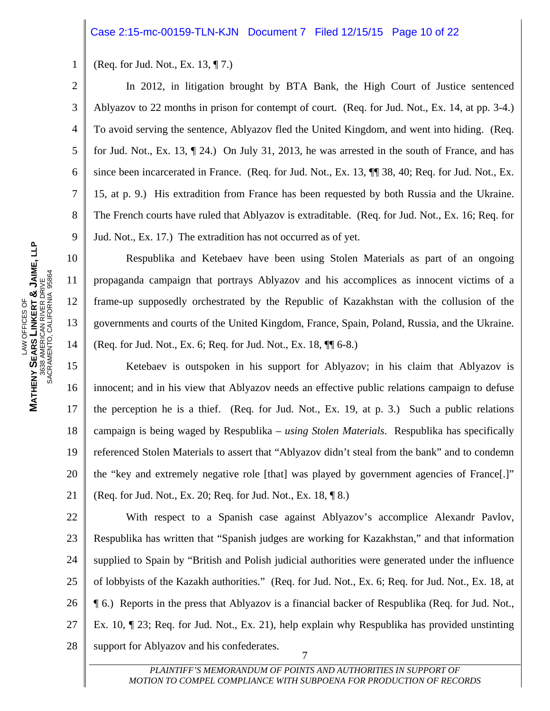#### Case 2:15-mc-00159-TLN-KJN Document 7 Filed 12/15/15 Page 10 of 22

1 (Req. for Jud. Not., Ex. 13, ¶ 7.)

2

3

4

5

6

7

8

9

10

11

12

13

14

 In 2012, in litigation brought by BTA Bank, the High Court of Justice sentenced Ablyazov to 22 months in prison for contempt of court. (Req. for Jud. Not., Ex. 14, at pp. 3-4.) To avoid serving the sentence, Ablyazov fled the United Kingdom, and went into hiding. (Req. for Jud. Not., Ex. 13, ¶ 24.) On July 31, 2013, he was arrested in the south of France, and has since been incarcerated in France. (Req. for Jud. Not., Ex. 13, ¶¶ 38, 40; Req. for Jud. Not., Ex. 15, at p. 9.) His extradition from France has been requested by both Russia and the Ukraine. The French courts have ruled that Ablyazov is extraditable. (Req. for Jud. Not., Ex. 16; Req. for Jud. Not., Ex. 17.) The extradition has not occurred as of yet.

 Respublika and Ketebaev have been using Stolen Materials as part of an ongoing propaganda campaign that portrays Ablyazov and his accomplices as innocent victims of a frame-up supposedly orchestrated by the Republic of Kazakhstan with the collusion of the governments and courts of the United Kingdom, France, Spain, Poland, Russia, and the Ukraine. (Req. for Jud. Not., Ex. 6; Req. for Jud. Not., Ex. 18, ¶¶ 6-8.)

15 16 17 18 19 20 21 Ketebaev is outspoken in his support for Ablyazov; in his claim that Ablyazov is innocent; and in his view that Ablyazov needs an effective public relations campaign to defuse the perception he is a thief. (Req. for Jud. Not., Ex. 19, at p. 3.) Such a public relations campaign is being waged by Respublika – *using Stolen Materials*. Respublika has specifically referenced Stolen Materials to assert that "Ablyazov didn't steal from the bank" and to condemn the "key and extremely negative role [that] was played by government agencies of France[.]" (Req. for Jud. Not., Ex. 20; Req. for Jud. Not., Ex. 18, ¶ 8.)

22 23 24 25 26 27 28  $\frac{1}{2}$  7 With respect to a Spanish case against Ablyazov's accomplice Alexandr Pavlov, Respublika has written that "Spanish judges are working for Kazakhstan," and that information supplied to Spain by "British and Polish judicial authorities were generated under the influence of lobbyists of the Kazakh authorities." (Req. for Jud. Not., Ex. 6; Req. for Jud. Not., Ex. 18, at ¶ 6.) Reports in the press that Ablyazov is a financial backer of Respublika (Req. for Jud. Not., Ex. 10, ¶ 23; Req. for Jud. Not., Ex. 21), help explain why Respublika has provided unstinting support for Ablyazov and his confederates.

> PLAINTIFF'S MEMORANDUM OF POINTS AND AUTHORITIES IN SUPPORT OF *MOTION TO COMPEL COMPLIANCE WITH SUBPOENA FOR PRODUCTION OF RECORDS*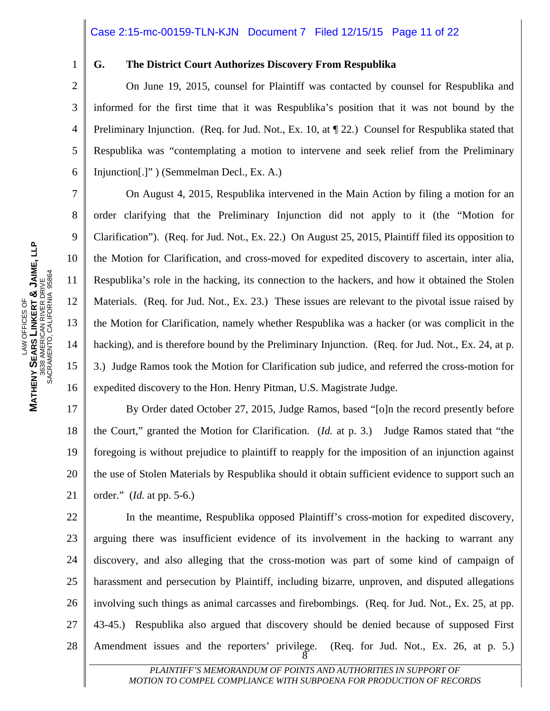#### Case 2:15-mc-00159-TLN-KJN Document 7 Filed 12/15/15 Page 11 of 22

1

2

3

4

5

6

7

8

9

10

11

12

13

14

15

16

#### **G. The District Court Authorizes Discovery From Respublika**

 On June 19, 2015, counsel for Plaintiff was contacted by counsel for Respublika and informed for the first time that it was Respublika's position that it was not bound by the Preliminary Injunction. (Req. for Jud. Not., Ex. 10, at  $\P$  22.) Counsel for Respublika stated that Respublika was "contemplating a motion to intervene and seek relief from the Preliminary Injunction[.]" ) (Semmelman Decl., Ex. A.)

 On August 4, 2015, Respublika intervened in the Main Action by filing a motion for an order clarifying that the Preliminary Injunction did not apply to it (the "Motion for Clarification"). (Req. for Jud. Not., Ex. 22.) On August 25, 2015, Plaintiff filed its opposition to the Motion for Clarification, and cross-moved for expedited discovery to ascertain, inter alia, Respublika's role in the hacking, its connection to the hackers, and how it obtained the Stolen Materials. (Req. for Jud. Not., Ex. 23.) These issues are relevant to the pivotal issue raised by the Motion for Clarification, namely whether Respublika was a hacker (or was complicit in the hacking), and is therefore bound by the Preliminary Injunction. (Req. for Jud. Not., Ex. 24, at p. 3.) Judge Ramos took the Motion for Clarification sub judice, and referred the cross-motion for expedited discovery to the Hon. Henry Pitman, U.S. Magistrate Judge.

17 18 19 20 21 By Order dated October 27, 2015, Judge Ramos, based "[o]n the record presently before the Court," granted the Motion for Clarification. (*Id.* at p. 3.) Judge Ramos stated that "the foregoing is without prejudice to plaintiff to reapply for the imposition of an injunction against the use of Stolen Materials by Respublika should it obtain sufficient evidence to support such an order." (*Id.* at pp. 5-6.)

22 23 24 25 26 27 28  $\frac{1}{8}$  In the meantime, Respublika opposed Plaintiff's cross-motion for expedited discovery, arguing there was insufficient evidence of its involvement in the hacking to warrant any discovery, and also alleging that the cross-motion was part of some kind of campaign of harassment and persecution by Plaintiff, including bizarre, unproven, and disputed allegations involving such things as animal carcasses and firebombings. (Req. for Jud. Not., Ex. 25, at pp. 43-45.) Respublika also argued that discovery should be denied because of supposed First Amendment issues and the reporters' privilege. (Req. for Jud. Not., Ex. 26, at p. 5.)

> PLAINTIFF'S MEMORANDUM OF POINTS AND AUTHORITIES IN SUPPORT OF *MOTION TO COMPEL COMPLIANCE WITH SUBPOENA FOR PRODUCTION OF RECORDS*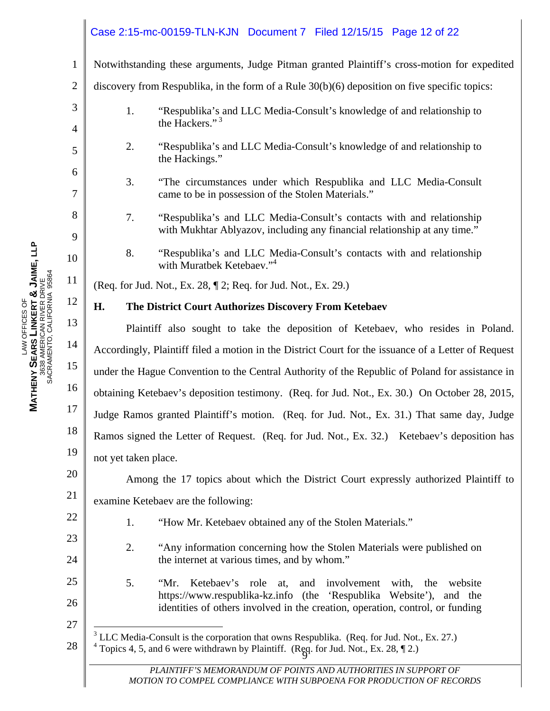### Case 2:15-mc-00159-TLN-KJN Document 7 Filed 12/15/15 Page 12 of 22

Notwithstanding these arguments, Judge Pitman granted Plaintiff's cross-motion for expedited

2 3 4 5 6 7 8 9 10 11 12 13 14 15 16 17 18 19 20 discovery from Respublika, in the form of a Rule 30(b)(6) deposition on five specific topics: 1. "Respublika's and LLC Media-Consult's knowledge of and relationship to the Hackers."<sup>3</sup> 2. "Respublika's and LLC Media-Consult's knowledge of and relationship to the Hackings." 3. "The circumstances under which Respublika and LLC Media-Consult came to be in possession of the Stolen Materials." 7. "Respublika's and LLC Media-Consult's contacts with and relationship with Mukhtar Ablyazov, including any financial relationship at any time." 8. "Respublika's and LLC Media-Consult's contacts with and relationship with Muratbek Ketebaev."<sup>4</sup> (Req. for Jud. Not., Ex. 28, ¶ 2; Req. for Jud. Not., Ex. 29.) **H. The District Court Authorizes Discovery From Ketebaev**  Plaintiff also sought to take the deposition of Ketebaev, who resides in Poland. Accordingly, Plaintiff filed a motion in the District Court for the issuance of a Letter of Request under the Hague Convention to the Central Authority of the Republic of Poland for assistance in obtaining Ketebaev's deposition testimony. (Req. for Jud. Not., Ex. 30.) On October 28, 2015, Judge Ramos granted Plaintiff's motion. (Req. for Jud. Not., Ex. 31.) That same day, Judge Ramos signed the Letter of Request. (Req. for Jud. Not., Ex. 32.) Ketebaev's deposition has not yet taken place.

Among the 17 topics about which the District Court expressly authorized Plaintiff to

21 examine Ketebaev are the following:

22

23

24

27

- 1. "How Mr. Ketebaev obtained any of the Stolen Materials."
- 2. "Any information concerning how the Stolen Materials were published on the internet at various times, and by whom."
- 25 26 5. "Mr. Ketebaev's role at, and involvement with, the website https://www.respublika-kz.info (the 'Respublika Website'), and the identities of others involved in the creation, operation, control, or funding

28 Topics  $\frac{4}{3}$ ,  $\frac{3}{3}$ , and  $\frac{6}{3}$  were written with by Framm. (Ree  $\overline{a}$  $3$  LLC Media-Consult is the corporation that owns Respublika. (Req. for Jud. Not., Ex. 27.) <sup>4</sup> Topics 4, 5, and 6 were withdrawn by Plaintiff. (Reg. for Jud. Not., Ex. 28,  $\P$  2.)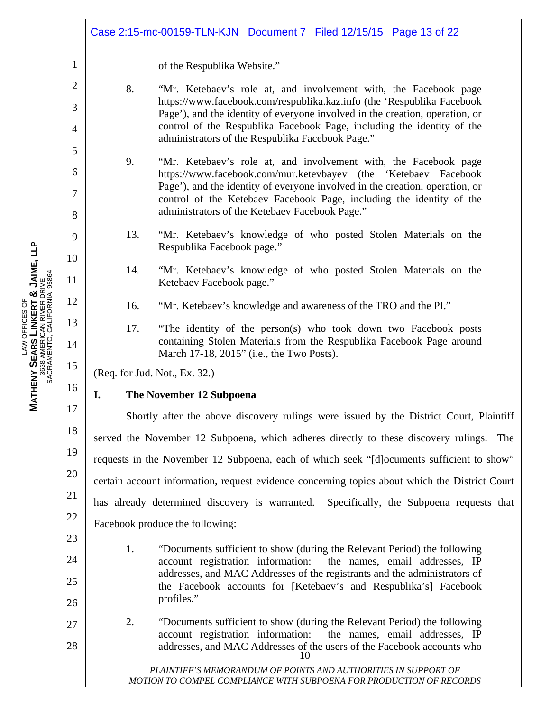|                |     | Case 2:15-mc-00159-TLN-KJN Document 7 Filed 12/15/15 Page 13 of 22                                                                                     |
|----------------|-----|--------------------------------------------------------------------------------------------------------------------------------------------------------|
| $\mathbf{1}$   |     | of the Respublika Website."                                                                                                                            |
| $\overline{2}$ | 8.  | "Mr. Ketebaev's role at, and involvement with, the Facebook page                                                                                       |
| 3              |     | https://www.facebook.com/respublika.kaz.info (the 'Respublika Facebook<br>Page'), and the identity of everyone involved in the creation, operation, or |
| 4              |     | control of the Respublika Facebook Page, including the identity of the<br>administrators of the Respublika Facebook Page."                             |
| 5<br>6         | 9.  | "Mr. Ketebaev's role at, and involvement with, the Facebook page                                                                                       |
| 7              |     | https://www.facebook.com/mur.ketevbayev (the 'Ketebaev Facebook<br>Page'), and the identity of everyone involved in the creation, operation, or        |
| 8              |     | control of the Ketebaev Facebook Page, including the identity of the<br>administrators of the Ketebaev Facebook Page."                                 |
| 9              | 13. | "Mr. Ketebaev's knowledge of who posted Stolen Materials on the<br>Respublika Facebook page."                                                          |
| 10             |     |                                                                                                                                                        |
| 11             | 14. | "Mr. Ketebaev's knowledge of who posted Stolen Materials on the<br>Ketebaev Facebook page."                                                            |
| 12             | 16. | "Mr. Ketebaev's knowledge and awareness of the TRO and the PI."                                                                                        |
| 13             | 17. | "The identity of the person(s) who took down two Facebook posts                                                                                        |
| 14             |     | containing Stolen Materials from the Respublika Facebook Page around<br>March 17-18, 2015" (i.e., the Two Posts).                                      |
| 15             |     | (Req. for Jud. Not., Ex. 32.)                                                                                                                          |
| 16             | I.  | The November 12 Subpoena                                                                                                                               |
| 17             |     | Shortly after the above discovery rulings were issued by the District Court, Plaintiff                                                                 |
| 18             |     | served the November 12 Subpoena, which adheres directly to these discovery rulings. The                                                                |
| 19             |     | requests in the November 12 Subpoena, each of which seek "[d] ocuments sufficient to show"                                                             |
| 20             |     | certain account information, request evidence concerning topics about which the District Court                                                         |
| 21             |     | has already determined discovery is warranted.<br>Specifically, the Subpoena requests that                                                             |
| 22             |     | Facebook produce the following:                                                                                                                        |
| 23<br>24       | 1.  | "Documents sufficient to show (during the Relevant Period) the following<br>account registration information:<br>the names, email addresses, IP        |
| 25             |     | addresses, and MAC Addresses of the registrants and the administrators of                                                                              |
| 26             |     | the Facebook accounts for [Ketebaev's and Respublika's] Facebook<br>profiles."                                                                         |
| 27             | 2.  | "Documents sufficient to show (during the Relevant Period) the following<br>account registration information:<br>the names, email addresses, IP        |
| 28             |     | addresses, and MAC Addresses of the users of the Facebook accounts who<br>10                                                                           |
|                |     | PLAINTIFF'S MEMORANDUM OF POINTS AND AUTHORITIES IN SUPPORT OF<br>MOTION TO COMPEL COMPLIANCE WITH SUBPOENA FOR PRODUCTION OF RECORDS                  |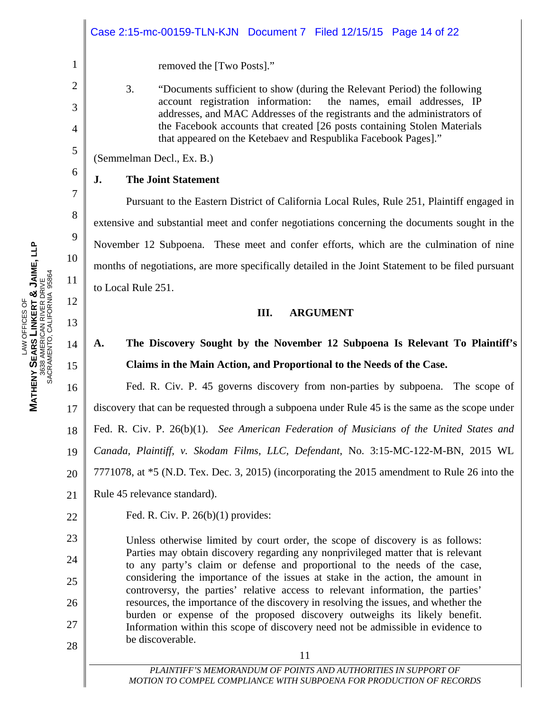|          | Case 2:15-mc-00159-TLN-KJN  Document 7  Filed 12/15/15  Page 14 of 22                                                                         |
|----------|-----------------------------------------------------------------------------------------------------------------------------------------------|
| 1        | removed the [Two Posts]."                                                                                                                     |
| 2        | 3.<br>"Documents sufficient to show (during the Relevant Period) the following                                                                |
| 3        | account registration information: the names, email addresses, IP<br>addresses, and MAC Addresses of the registrants and the administrators of |
| 4        | the Facebook accounts that created [26 posts containing Stolen Materials<br>that appeared on the Ketebaev and Respublika Facebook Pages]."    |
| 5        | (Semmelman Decl., Ex. B.)                                                                                                                     |
| 6        | <b>The Joint Statement</b><br>J.                                                                                                              |
| 7        | Pursuant to the Eastern District of California Local Rules, Rule 251, Plaintiff engaged in                                                    |
| 8        | extensive and substantial meet and confer negotiations concerning the documents sought in the                                                 |
| 9        | November 12 Subpoena. These meet and confer efforts, which are the culmination of nine                                                        |
| 10       | months of negotiations, are more specifically detailed in the Joint Statement to be filed pursuant                                            |
| 11       | to Local Rule 251.                                                                                                                            |
| 12<br>13 | Ш.<br><b>ARGUMENT</b>                                                                                                                         |
| 14       | The Discovery Sought by the November 12 Subpoena Is Relevant To Plaintiff's<br>А.                                                             |

## **November 12 Subpoena Is Relevant To Plaintiff's Claims in the Main Action, and Proportional to the Needs of the Case.**

16 17 18 19 20 21 Fed. R. Civ. P. 45 governs discovery from non-parties by subpoena. The scope of discovery that can be requested through a subpoena under Rule 45 is the same as the scope under Fed. R. Civ. P. 26(b)(1). *See American Federation of Musicians of the United States and Canada, Plaintiff, v. Skodam Films, LLC, Defendant*, No. 3:15-MC-122-M-BN, 2015 WL 7771078, at \*5 (N.D. Tex. Dec. 3, 2015) (incorporating the 2015 amendment to Rule 26 into the Rule 45 relevance standard).

Fed. R. Civ. P. 26(b)(1) provides:

Unless otherwise limited by court order, the scope of discovery is as follows: Parties may obtain discovery regarding any nonprivileged matter that is relevant to any party's claim or defense and proportional to the needs of the case, considering the importance of the issues at stake in the action, the amount in controversy, the parties' relative access to relevant information, the parties' resources, the importance of the discovery in resolving the issues, and whether the burden or expense of the proposed discovery outweighs its likely benefit. Information within this scope of discovery need not be admissible in evidence to be discoverable.

15

22

23

24

25

26

27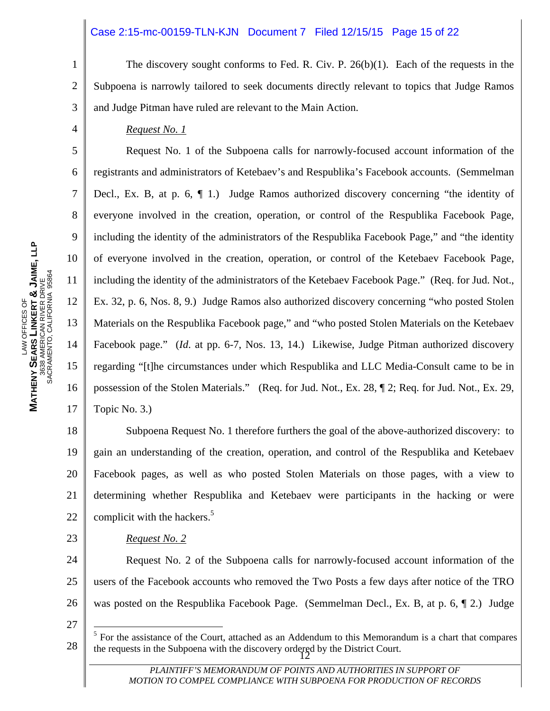#### Case 2:15-mc-00159-TLN-KJN Document 7 Filed 12/15/15 Page 15 of 22

1 2 3 The discovery sought conforms to Fed. R. Civ. P.  $26(b)(1)$ . Each of the requests in the Subpoena is narrowly tailored to seek documents directly relevant to topics that Judge Ramos and Judge Pitman have ruled are relevant to the Main Action.

#### *Request No. 1*

4

5

6

7

8

9

10

11

12

13

14

15

16

17

 Request No. 1 of the Subpoena calls for narrowly-focused account information of the registrants and administrators of Ketebaev's and Respublika's Facebook accounts. (Semmelman Decl., Ex. B, at p. 6, ¶ 1.) Judge Ramos authorized discovery concerning "the identity of everyone involved in the creation, operation, or control of the Respublika Facebook Page, including the identity of the administrators of the Respublika Facebook Page," and "the identity of everyone involved in the creation, operation, or control of the Ketebaev Facebook Page, including the identity of the administrators of the Ketebaev Facebook Page." (Req. for Jud. Not., Ex. 32, p. 6, Nos. 8, 9.) Judge Ramos also authorized discovery concerning "who posted Stolen Materials on the Respublika Facebook page," and "who posted Stolen Materials on the Ketebaev Facebook page." (*Id*. at pp. 6-7, Nos. 13, 14.) Likewise, Judge Pitman authorized discovery regarding "[t]he circumstances under which Respublika and LLC Media-Consult came to be in possession of the Stolen Materials." (Req. for Jud. Not., Ex. 28, ¶ 2; Req. for Jud. Not., Ex. 29, Topic No. 3.)

18 19 20 21 22 Subpoena Request No. 1 therefore furthers the goal of the above-authorized discovery: to gain an understanding of the creation, operation, and control of the Respublika and Ketebaev Facebook pages, as well as who posted Stolen Materials on those pages, with a view to determining whether Respublika and Ketebaev were participants in the hacking or were complicit with the hackers. $5$ 

23

 $\overline{a}$ 

 *Request No. 2* 

24 25 26 Request No. 2 of the Subpoena calls for narrowly-focused account information of the users of the Facebook accounts who removed the Two Posts a few days after notice of the TRO was posted on the Respublika Facebook Page. (Semmelman Decl., Ex. B, at p. 6, 12.) Judge

27

the requests in the Subpoena with the discovery ordered by the District Court.<br> $\frac{12}{3}$  $<sup>5</sup>$  For the assistance of the Court, attached as an Addendum to this Memorandum is a chart that compares</sup>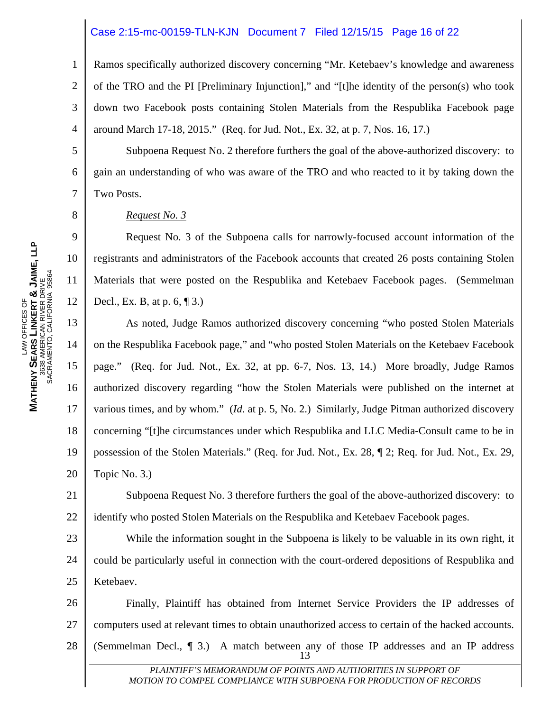#### Case 2:15-mc-00159-TLN-KJN Document 7 Filed 12/15/15 Page 16 of 22

1 2 3 4 Ramos specifically authorized discovery concerning "Mr. Ketebaev's knowledge and awareness of the TRO and the PI [Preliminary Injunction]," and "[t]he identity of the person(s) who took down two Facebook posts containing Stolen Materials from the Respublika Facebook page around March 17-18, 2015." (Req. for Jud. Not., Ex. 32, at p. 7, Nos. 16, 17.)

 Subpoena Request No. 2 therefore furthers the goal of the above-authorized discovery: to gain an understanding of who was aware of the TRO and who reacted to it by taking down the Two Posts.

#### *Request No. 3*

 Request No. 3 of the Subpoena calls for narrowly-focused account information of the registrants and administrators of the Facebook accounts that created 26 posts containing Stolen Materials that were posted on the Respublika and Ketebaev Facebook pages. (Semmelman Decl., Ex. B, at p. 6, ¶ 3.)

13 14 15 16 17 18 19 20 As noted, Judge Ramos authorized discovery concerning "who posted Stolen Materials on the Respublika Facebook page," and "who posted Stolen Materials on the Ketebaev Facebook page." (Req. for Jud. Not., Ex. 32, at pp. 6-7, Nos. 13, 14.) More broadly, Judge Ramos authorized discovery regarding "how the Stolen Materials were published on the internet at various times, and by whom." (*Id*. at p. 5, No. 2.) Similarly, Judge Pitman authorized discovery concerning "[t]he circumstances under which Respublika and LLC Media-Consult came to be in possession of the Stolen Materials." (Req. for Jud. Not., Ex. 28, ¶ 2; Req. for Jud. Not., Ex. 29, Topic No. 3.)

21 22 Subpoena Request No. 3 therefore furthers the goal of the above-authorized discovery: to identify who posted Stolen Materials on the Respublika and Ketebaev Facebook pages.

23 24 25 While the information sought in the Subpoena is likely to be valuable in its own right, it could be particularly useful in connection with the court-ordered depositions of Respublika and Ketebaev.

26 27 28  $\frac{13}{1}$  Finally, Plaintiff has obtained from Internet Service Providers the IP addresses of computers used at relevant times to obtain unauthorized access to certain of the hacked accounts. (Semmelman Decl.,  $\P$  3.) A match between any of those IP addresses and an IP address

> PLAINTIFF'S MEMORANDUM OF POINTS AND AUTHORITIES IN SUPPORT OF *MOTION TO COMPEL COMPLIANCE WITH SUBPOENA FOR PRODUCTION OF RECORDS*

5

6

7

8

9

10

11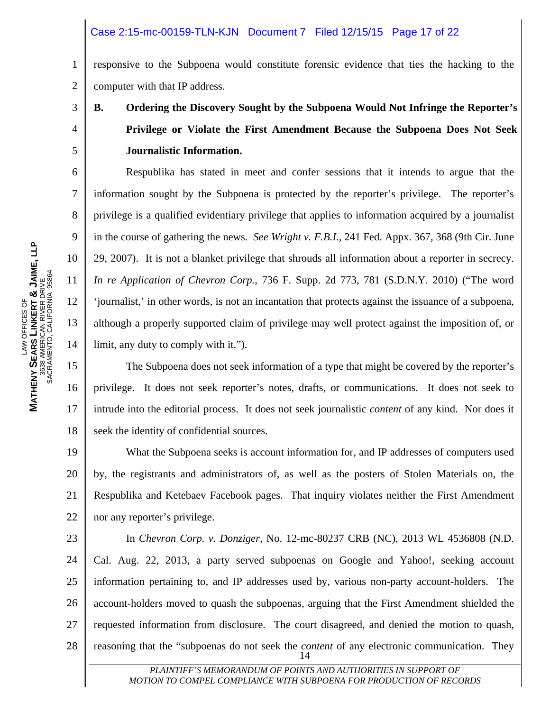#### Case 2:15-mc-00159-TLN-KJN Document 7 Filed 12/15/15 Page 17 of 22

1 2 responsive to the Subpoena would constitute forensic evidence that ties the hacking to the computer with that IP address.

## **B. Ordering the Discovery Sought by the Subpoena Would Not Infringe the Reporter's Privilege or Violate the First Amendment Because the Subpoena Does Not Seek Journalistic Information.**

Respublika has stated in meet and confer sessions that it intends to argue that the information sought by the Subpoena is protected by the reporter's privilege. The reporter's privilege is a qualified evidentiary privilege that applies to information acquired by a journalist in the course of gathering the news. *See Wright v. F.B.I.*, 241 Fed. Appx. 367, 368 (9th Cir. June 29, 2007). It is not a blanket privilege that shrouds all information about a reporter in secrecy. *In re Application of Chevron Corp.*, 736 F. Supp. 2d 773, 781 (S.D.N.Y. 2010) ("The word 'journalist,' in other words, is not an incantation that protects against the issuance of a subpoena, although a properly supported claim of privilege may well protect against the imposition of, or limit, any duty to comply with it.").

16 The Subpoena does not seek information of a type that might be covered by the reporter's privilege. It does not seek reporter's notes, drafts, or communications. It does not seek to intrude into the editorial process. It does not seek journalistic *content* of any kind. Nor does it seek the identity of confidential sources.

19 20 21 22 What the Subpoena seeks is account information for, and IP addresses of computers used by, the registrants and administrators of, as well as the posters of Stolen Materials on, the Respublika and Ketebaev Facebook pages. That inquiry violates neither the First Amendment nor any reporter's privilege.

23 24 25 26 27 28  $\sim$  11 and 14 In *Chevron Corp. v. Donziger,* No. 12-mc-80237 CRB (NC), 2013 WL 4536808 (N.D. Cal. Aug. 22, 2013, a party served subpoenas on Google and Yahoo!, seeking account information pertaining to, and IP addresses used by, various non-party account-holders. The account-holders moved to quash the subpoenas, arguing that the First Amendment shielded the requested information from disclosure. The court disagreed, and denied the motion to quash, reasoning that the "subpoenas do not seek the *content* of any electronic communication. They

> PLAINTIFF'S MEMORANDUM OF POINTS AND AUTHORITIES IN SUPPORT OF *MOTION TO COMPEL COMPLIANCE WITH SUBPOENA FOR PRODUCTION OF RECORDS*

3

4

5

6

7

8

9

10

11

12

13

14

15

17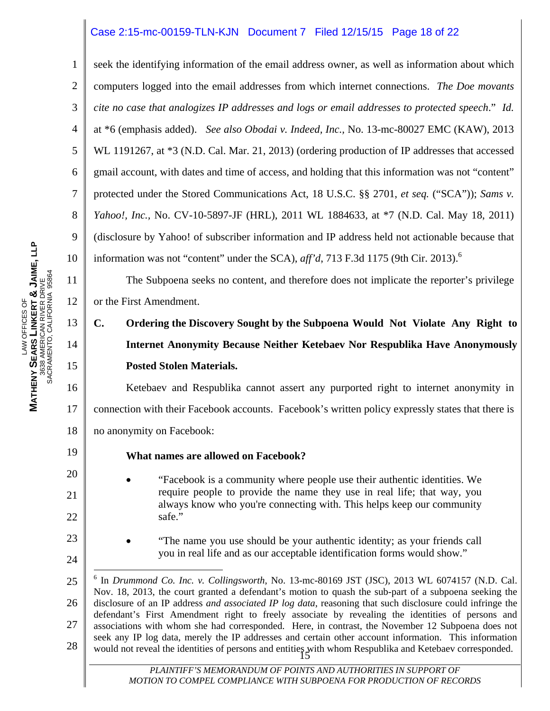#### Case 2:15-mc-00159-TLN-KJN Document 7 Filed 12/15/15 Page 18 of 22

seek the identifying information of the email address owner, as well as information about which computers logged into the email addresses from which internet connections. *The Doe movants cite no case that analogizes IP addresses and logs or email addresses to protected speech*." *Id.* at \*6 (emphasis added). *See also Obodai v. Indeed, Inc.,* No. 13-mc-80027 EMC (KAW), 2013 WL 1191267, at  $*3$  (N.D. Cal. Mar. 21, 2013) (ordering production of IP addresses that accessed gmail account, with dates and time of access, and holding that this information was not "content" protected under the Stored Communications Act, 18 U.S.C. §§ 2701, *et seq.* ("SCA")); *Sams v. Yahoo!, Inc.,* No. CV-10-5897-JF (HRL), 2011 WL 1884633, at \*7 (N.D. Cal. May 18, 2011) (disclosure by Yahoo! of subscriber information and IP address held not actionable because that information was not "content" under the SCA), *aff'd*, 713 F.3d 1175 (9th Cir. 2013).<sup>6</sup>

 The Subpoena seeks no content, and therefore does not implicate the reporter's privilege or the First Amendment.

## **C. Ordering the Discovery Sought by the Subpoena Would Not Violate Any Right to Internet Anonymity Because Neither Ketebaev Nor Respublika Have Anonymously Posted Stolen Materials.**

16 17 18 Ketebaev and Respublika cannot assert any purported right to internet anonymity in connection with their Facebook accounts. Facebook's written policy expressly states that there is no anonymity on Facebook:

#### **What names are allowed on Facebook?**

- "Facebook is a community where people use their authentic identities. We require people to provide the name they use in real life; that way, you always know who you're connecting with. This helps keep our community safe."
- "The name you use should be your authentic identity; as your friends call you in real life and as our acceptable identification forms would show."

1

2

3

4

5

6

7

8

9

10

11

12

13

14

15

19

20

21

22

23

<sup>25</sup>  26 27 28 would not reveal the identities of persons and entities with whom Respublika and Ketebaev corresponded.<br>15  $\overline{a}$ 6 In *Drummond Co. Inc. v. Collingsworth*, No. 13-mc-80169 JST (JSC), 2013 WL 6074157 (N.D. Cal. Nov. 18, 2013, the court granted a defendant's motion to quash the sub-part of a subpoena seeking the disclosure of an IP address *and associated IP log data*, reasoning that such disclosure could infringe the defendant's First Amendment right to freely associate by revealing the identities of persons and associations with whom she had corresponded. Here, in contrast, the November 12 Subpoena does not seek any IP log data, merely the IP addresses and certain other account information. This information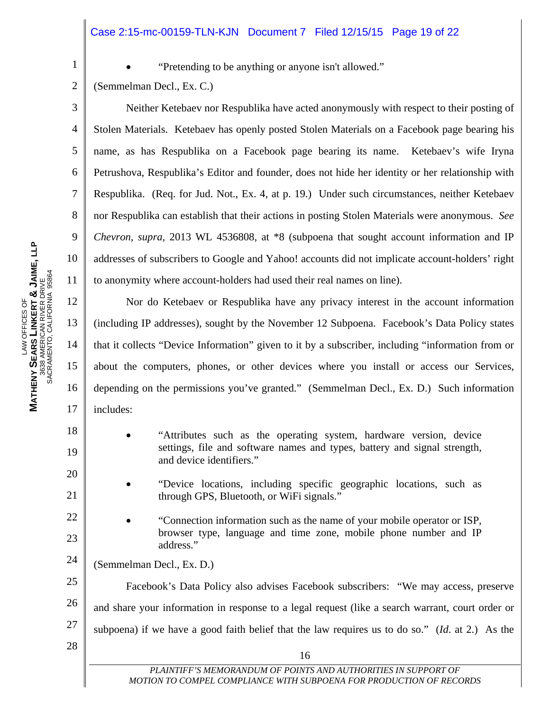#### Case 2:15-mc-00159-TLN-KJN Document 7 Filed 12/15/15 Page 19 of 22

1

3

4

5

6

7

8

9

10

11

12

13

14

15

16

17

18

19

20

21

22

23

28

"Pretending to be anything or anyone isn't allowed."

2 (Semmelman Decl., Ex. C.)

 Neither Ketebaev nor Respublika have acted anonymously with respect to their posting of Stolen Materials. Ketebaev has openly posted Stolen Materials on a Facebook page bearing his name, as has Respublika on a Facebook page bearing its name. Ketebaev's wife Iryna Petrushova, Respublika's Editor and founder, does not hide her identity or her relationship with Respublika. (Req. for Jud. Not., Ex. 4, at p. 19.) Under such circumstances, neither Ketebaev nor Respublika can establish that their actions in posting Stolen Materials were anonymous. *See Chevron, supra,* 2013 WL 4536808, at \*8 (subpoena that sought account information and IP addresses of subscribers to Google and Yahoo! accounts did not implicate account-holders' right to anonymity where account-holders had used their real names on line).

 Nor do Ketebaev or Respublika have any privacy interest in the account information (including IP addresses), sought by the November 12 Subpoena. Facebook's Data Policy states that it collects "Device Information" given to it by a subscriber, including "information from or about the computers, phones, or other devices where you install or access our Services, depending on the permissions you've granted." (Semmelman Decl., Ex. D.) Such information includes:

- "Attributes such as the operating system, hardware version, device settings, file and software names and types, battery and signal strength, and device identifiers."
	- "Device locations, including specific geographic locations, such as through GPS, Bluetooth, or WiFi signals."
- "Connection information such as the name of your mobile operator or ISP, browser type, language and time zone, mobile phone number and IP address."
- 24 (Semmelman Decl., Ex. D.)

16

25 26 27 Facebook's Data Policy also advises Facebook subscribers: "We may access, preserve and share your information in response to a legal request (like a search warrant, court order or subpoena) if we have a good faith belief that the law requires us to do so." (*Id*. at 2.) As the

**JAIME, LLP** SACRAMENTO, CALIFORNIA 95864 3638 AMERICAN RIVER DRIVE **&** LAW OFFICES OF **LINKERT**  LAW OFFICES OF **SEARS MATHENY**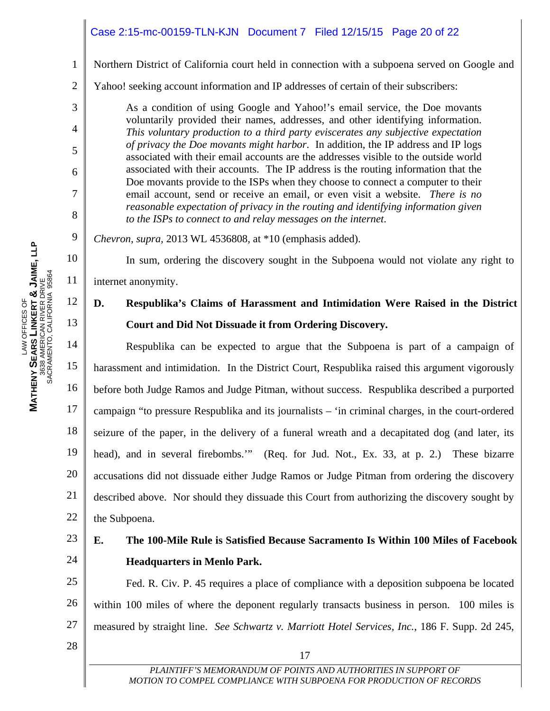### Case 2:15-mc-00159-TLN-KJN Document 7 Filed 12/15/15 Page 20 of 22

Northern District of California court held in connection with a subpoena served on Google and

2 Yahoo! seeking account information and IP addresses of certain of their subscribers:

> As a condition of using Google and Yahoo!'s email service, the Doe movants voluntarily provided their names, addresses, and other identifying information. *This voluntary production to a third party eviscerates any subjective expectation of privacy the Doe movants might harbor*. In addition, the IP address and IP logs associated with their email accounts are the addresses visible to the outside world associated with their accounts. The IP address is the routing information that the Doe movants provide to the ISPs when they choose to connect a computer to their email account, send or receive an email, or even visit a website. *There is no reasonable expectation of privacy in the routing and identifying information given to the ISPs to connect to and relay messages on the internet*.

*Chevron*, *supra,* 2013 WL 4536808, at \*10 (emphasis added).

In sum, ordering the discovery sought in the Subpoena would not violate any right to

internet anonymity.

### **D. Respublika's Claims of Harassment and Intimidation Were Raised in the District Court and Did Not Dissuade it from Ordering Discovery.**

14 15 16 17 18 19 20 21 22 Respublika can be expected to argue that the Subpoena is part of a campaign of harassment and intimidation. In the District Court, Respublika raised this argument vigorously before both Judge Ramos and Judge Pitman, without success. Respublika described a purported campaign "to pressure Respublika and its journalists – 'in criminal charges, in the court-ordered seizure of the paper, in the delivery of a funeral wreath and a decapitated dog (and later, its head), and in several firebombs.'" (Req. for Jud. Not., Ex. 33, at p. 2.) These bizarre accusations did not dissuade either Judge Ramos or Judge Pitman from ordering the discovery described above. Nor should they dissuade this Court from authorizing the discovery sought by the Subpoena.

#### 23 24 **E. The 100-Mile Rule is Satisfied Because Sacramento Is Within 100 Miles of Facebook Headquarters in Menlo Park.**

25 26 27 Fed. R. Civ. P. 45 requires a place of compliance with a deposition subpoena be located within 100 miles of where the deponent regularly transacts business in person. 100 miles is measured by straight line. *See Schwartz v. Marriott Hotel Services, Inc.*, 186 F. Supp. 2d 245,

28

1

3

4

5

6

7

8

9

10

11

12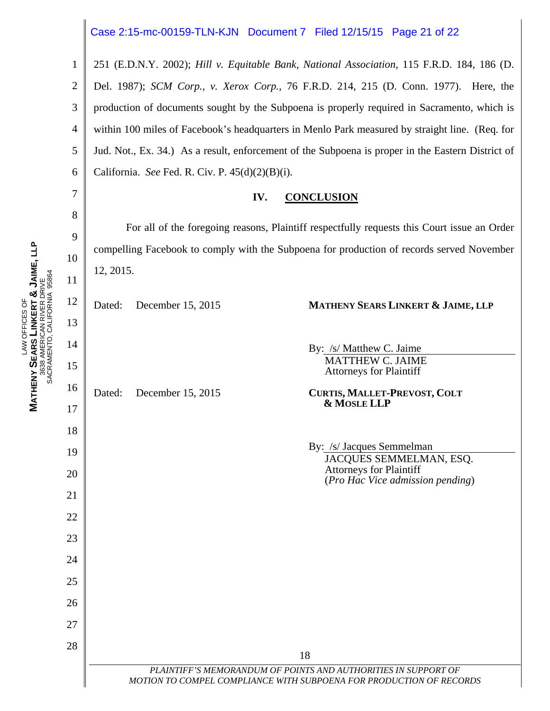#### Case 2:15-mc-00159-TLN-KJN Document 7 Filed 12/15/15 Page 21 of 22

1 2 3 4 5 6 251 (E.D.N.Y. 2002); *Hill v. Equitable Bank, National Association*, 115 F.R.D. 184, 186 (D. Del. 1987); *SCM Corp., v. Xerox Corp.*, 76 F.R.D. 214, 215 (D. Conn. 1977). Here, the production of documents sought by the Subpoena is properly required in Sacramento, which is within 100 miles of Facebook's headquarters in Menlo Park measured by straight line. (Req. for Jud. Not., Ex. 34.) As a result, enforcement of the Subpoena is proper in the Eastern District of California. *See* Fed. R. Civ. P. 45(d)(2)(B)(i).

#### **IV. CONCLUSION**

 For all of the foregoing reasons, Plaintiff respectfully requests this Court issue an Order compelling Facebook to comply with the Subpoena for production of records served November 12, 2015.

> By: /s/ Matthew C. Jaime MATTHEW C. JAIME Attorneys for Plaintiff

> > **& MOSLE LLP**

By: /s/ Jacques Semmelman

Attorneys for Plaintiff

JACQUES SEMMELMAN, ESQ.

(*Pro Hac Vice admission pending*)

Dated: December 15, 2015 **MATHENY SEARS LINKERT & JAIME, LLP**

Dated: December 15, 2015 **CURTIS, MALLET-PREVOST, COLT** 

18

PLAINTIFF'S MEMORANDUM OF POINTS AND AUTHORITIES IN SUPPORT OF *MOTION TO COMPEL COMPLIANCE WITH SUBPOENA FOR PRODUCTION OF RECORDS* 

7

8

9

10

11

12

13

14

15

16

17

18

19

20

21

22

23

24

25

26

27